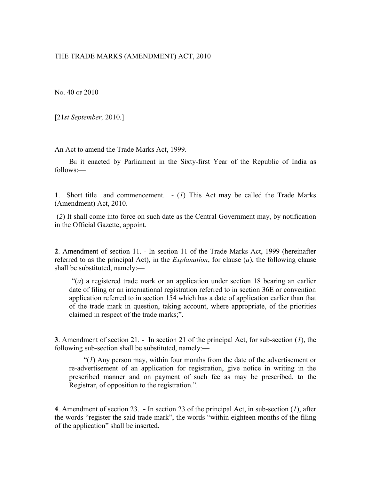## THE TRADE MARKS (AMENDMENT) ACT, 2010

NO. 40 OF 2010

[21*st September,* 2010.]

An Act to amend the Trade Marks Act, 1999.

BE it enacted by Parliament in the Sixty-first Year of the Republic of India as follows:—

**1**. Short title and commencement. - (*1*) This Act may be called the Trade Marks (Amendment) Act, 2010.

 (*2*) It shall come into force on such date as the Central Government may, by notification in the Official Gazette, appoint.

**2**. Amendment of section 11. - In section 11 of the Trade Marks Act, 1999 (hereinafter referred to as the principal Act), in the *Explanation*, for clause (*a*), the following clause shall be substituted, namely:—

 "(*a*) a registered trade mark or an application under section 18 bearing an earlier date of filing or an international registration referred to in section 36E or convention application referred to in section 154 which has a date of application earlier than that of the trade mark in question, taking account, where appropriate, of the priorities claimed in respect of the trade marks;".

**3**. Amendment of section 21. - In section 21 of the principal Act, for sub-section (*1*), the following sub-section shall be substituted, namely:—

"(*1*) Any person may, within four months from the date of the advertisement or re-advertisement of an application for registration, give notice in writing in the prescribed manner and on payment of such fee as may be prescribed, to the Registrar, of opposition to the registration.".

**4**. Amendment of section 23. **-** In section 23 of the principal Act, in sub-section (*1*), after the words "register the said trade mark", the words "within eighteen months of the filing of the application" shall be inserted.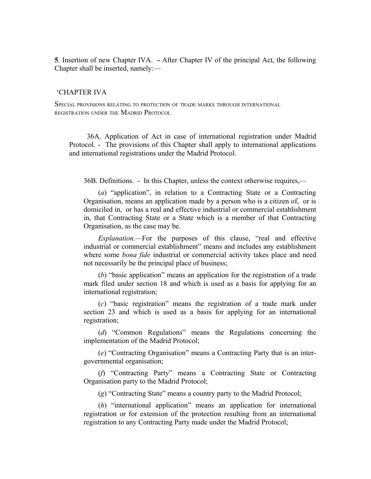**5**. Insertion of new Chapter IVA. **-** After Chapter IV of the principal Act, the following Chapter shall be inserted, namely:—

## 'CHAPTER IVA

SPECIAL PROVISIONS RELATING TO PROTECTION OF TRADE MARKS THROUGH INTERNATIONAL REGISTRATION UNDER THE MADRID PROTOCOL

 36A. Application of Act in case of international registration under Madrid Protocol. - The provisions of this Chapter shall apply to international applications and international registrations under the Madrid Protocol.

36B. Definitions. - In this Chapter, unless the context otherwise requires,—

(*a*) "application", in relation to a Contracting State or a Contracting Organisation, means an application made by a person who is a citizen of, or is domiciled in, or has a real and effective industrial or commercial establishment in, that Contracting State or a State which is a member of that Contracting Organisation, as the case may be.

*Explanation.—*For the purposes of this clause, "real and effective industrial or commercial establishment" means and includes any establishment where some *bona fide* industrial or commercial activity takes place and need not necessarily be the principal place of business;

(*b*) "basic application" means an application for the registration of a trade mark filed under section 18 and which is used as a basis for applying for an international registration;

(*c*) "basic registration" means the registration of a trade mark under section 23 and which is used as a basis for applying for an international registration;

(*d*) "Common Regulations" means the Regulations concerning the implementation of the Madrid Protocol;

(*e*) "Contracting Organisation" means a Contracting Party that is an intergovernmental organisation;

(*f*) "Contracting Party" means a Contracting State or Contracting Organisation party to the Madrid Protocol;

(*g*) "Contracting State" means a country party to the Madrid Protocol;

(*h*) "international application" means an application for international registration or for extension of the protection resulting from an international registration to any Contracting Party made under the Madrid Protocol;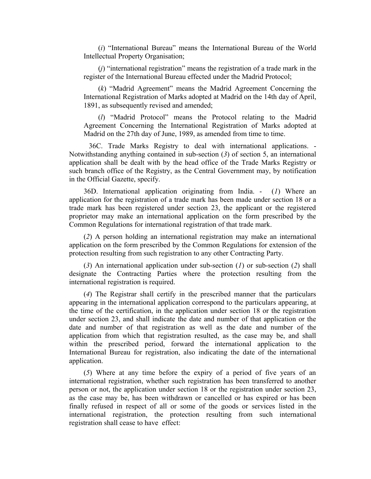(*i*) "International Bureau" means the International Bureau of the World Intellectual Property Organisation;

(*j*) "international registration" means the registration of a trade mark in the register of the International Bureau effected under the Madrid Protocol;

(*k*) "Madrid Agreement" means the Madrid Agreement Concerning the International Registration of Marks adopted at Madrid on the 14th day of April, 1891, as subsequently revised and amended;

(*l*) "Madrid Protocol" means the Protocol relating to the Madrid Agreement Concerning the International Registration of Marks adopted at Madrid on the 27th day of June, 1989, as amended from time to time.

 36C. Trade Marks Registry to deal with international applications. - Notwithstanding anything contained in sub-section (*3*) of section 5, an international application shall be dealt with by the head office of the Trade Marks Registry or such branch office of the Registry, as the Central Government may, by notification in the Official Gazette, specify.

36D. International application originating from India. - (*1*) Where an application for the registration of a trade mark has been made under section 18 or a trade mark has been registered under section 23, the applicant or the registered proprietor may make an international application on the form prescribed by the Common Regulations for international registration of that trade mark.

(*2*) A person holding an international registration may make an international application on the form prescribed by the Common Regulations for extension of the protection resulting from such registration to any other Contracting Party.

(*3*) An international application under sub-section (*1*) or sub-section (*2*) shall designate the Contracting Parties where the protection resulting from the international registration is required.

(*4*) The Registrar shall certify in the prescribed manner that the particulars appearing in the international application correspond to the particulars appearing, at the time of the certification, in the application under section 18 or the registration under section 23, and shall indicate the date and number of that application or the date and number of that registration as well as the date and number of the application from which that registration resulted, as the case may be, and shall within the prescribed period, forward the international application to the International Bureau for registration, also indicating the date of the international application.

(*5*) Where at any time before the expiry of a period of five years of an international registration, whether such registration has been transferred to another person or not, the application under section 18 or the registration under section 23, as the case may be, has been withdrawn or cancelled or has expired or has been finally refused in respect of all or some of the goods or services listed in the international registration, the protection resulting from such international registration shall cease to have effect: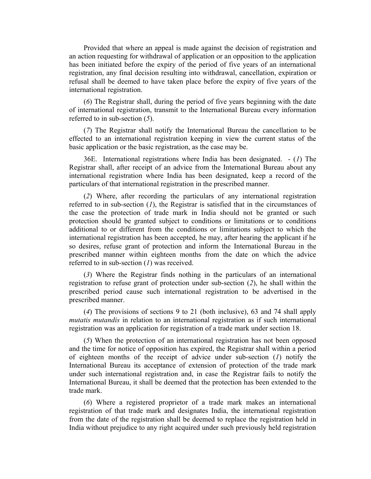Provided that where an appeal is made against the decision of registration and an action requesting for withdrawal of application or an opposition to the application has been initiated before the expiry of the period of five years of an international registration, any final decision resulting into withdrawal, cancellation, expiration or refusal shall be deemed to have taken place before the expiry of five years of the international registration.

(*6*) The Registrar shall, during the period of five years beginning with the date of international registration, transmit to the International Bureau every information referred to in sub-section (*5*).

(*7*) The Registrar shall notify the International Bureau the cancellation to be effected to an international registration keeping in view the current status of the basic application or the basic registration, as the case may be.

36E. International registrations where India has been designated. - (*1*) The Registrar shall, after receipt of an advice from the International Bureau about any international registration where India has been designated, keep a record of the particulars of that international registration in the prescribed manner.

(*2*) Where, after recording the particulars of any international registration referred to in sub-section (*1*), the Registrar is satisfied that in the circumstances of the case the protection of trade mark in India should not be granted or such protection should be granted subject to conditions or limitations or to conditions additional to or different from the conditions or limitations subject to which the international registration has been accepted, he may, after hearing the applicant if he so desires, refuse grant of protection and inform the International Bureau in the prescribed manner within eighteen months from the date on which the advice referred to in sub-section (*1*) was received.

(*3*) Where the Registrar finds nothing in the particulars of an international registration to refuse grant of protection under sub-section (*2*), he shall within the prescribed period cause such international registration to be advertised in the prescribed manner.

(*4*) The provisions of sections 9 to 21 (both inclusive), 63 and 74 shall apply *mutatis mutandis* in relation to an international registration as if such international registration was an application for registration of a trade mark under section 18.

(*5*) When the protection of an international registration has not been opposed and the time for notice of opposition has expired, the Registrar shall within a period of eighteen months of the receipt of advice under sub-section (*1*) notify the International Bureau its acceptance of extension of protection of the trade mark under such international registration and, in case the Registrar fails to notify the International Bureau, it shall be deemed that the protection has been extended to the trade mark.

(*6*) Where a registered proprietor of a trade mark makes an international registration of that trade mark and designates India, the international registration from the date of the registration shall be deemed to replace the registration held in India without prejudice to any right acquired under such previously held registration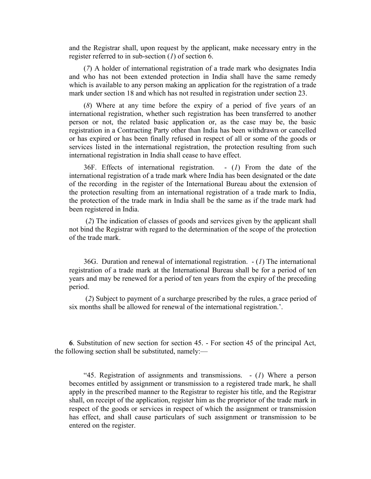and the Registrar shall, upon request by the applicant, make necessary entry in the register referred to in sub-section (*1*) of section 6.

(*7*) A holder of international registration of a trade mark who designates India and who has not been extended protection in India shall have the same remedy which is available to any person making an application for the registration of a trade mark under section 18 and which has not resulted in registration under section 23.

(*8*) Where at any time before the expiry of a period of five years of an international registration, whether such registration has been transferred to another person or not, the related basic application or, as the case may be, the basic registration in a Contracting Party other than India has been withdrawn or cancelled or has expired or has been finally refused in respect of all or some of the goods or services listed in the international registration, the protection resulting from such international registration in India shall cease to have effect.

36F. Effects of international registration. - (*1*) From the date of the international registration of a trade mark where India has been designated or the date of the recording in the register of the International Bureau about the extension of the protection resulting from an international registration of a trade mark to India, the protection of the trade mark in India shall be the same as if the trade mark had been registered in India.

 (*2*) The indication of classes of goods and services given by the applicant shall not bind the Registrar with regard to the determination of the scope of the protection of the trade mark.

36G. Duration and renewal of international registration. - (*1*) The international registration of a trade mark at the International Bureau shall be for a period of ten years and may be renewed for a period of ten years from the expiry of the preceding period.

 (*2*) Subject to payment of a surcharge prescribed by the rules, a grace period of six months shall be allowed for renewal of the international registration.'.

**6**. Substitution of new section for section 45. - For section 45 of the principal Act, the following section shall be substituted, namely:—

"45. Registration of assignments and transmissions. - (*1*) Where a person becomes entitled by assignment or transmission to a registered trade mark, he shall apply in the prescribed manner to the Registrar to register his title, and the Registrar shall, on receipt of the application, register him as the proprietor of the trade mark in respect of the goods or services in respect of which the assignment or transmission has effect, and shall cause particulars of such assignment or transmission to be entered on the register.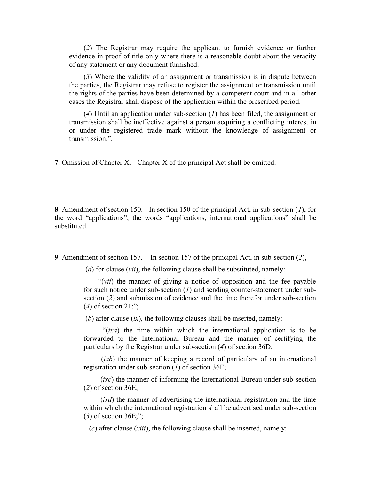(*2*) The Registrar may require the applicant to furnish evidence or further evidence in proof of title only where there is a reasonable doubt about the veracity of any statement or any document furnished.

(*3*) Where the validity of an assignment or transmission is in dispute between the parties, the Registrar may refuse to register the assignment or transmission until the rights of the parties have been determined by a competent court and in all other cases the Registrar shall dispose of the application within the prescribed period.

(*4*) Until an application under sub-section (*1*) has been filed, the assignment or transmission shall be ineffective against a person acquiring a conflicting interest in or under the registered trade mark without the knowledge of assignment or transmission"

**7**. Omission of Chapter X. - Chapter X of the principal Act shall be omitted.

**8**. Amendment of section 150. - In section 150 of the principal Act, in sub-section (*1*), for the word "applications", the words "applications, international applications" shall be substituted.

**9**. Amendment of section 157. - In section 157 of the principal Act, in sub-section (*2*), —

(*a*) for clause (*vii*), the following clause shall be substituted, namely:—

"(*vii*) the manner of giving a notice of opposition and the fee payable for such notice under sub-section (*1*) and sending counter-statement under subsection (*2*) and submission of evidence and the time therefor under sub-section (*4*) of section 21;";

(*b*) after clause  $(ix)$ , the following clauses shall be inserted, namely:—

 "(*ixa*) the time within which the international application is to be forwarded to the International Bureau and the manner of certifying the particulars by the Registrar under sub-section (*4*) of section 36D;

 (*ixb*) the manner of keeping a record of particulars of an international registration under sub-section (*1*) of section 36E;

 (*ixc*) the manner of informing the International Bureau under sub-section (*2*) of section 36E;

 (*ixd*) the manner of advertising the international registration and the time within which the international registration shall be advertised under sub-section (*3*) of section 36E;";

(*c*) after clause (*xiii*), the following clause shall be inserted, namely:—